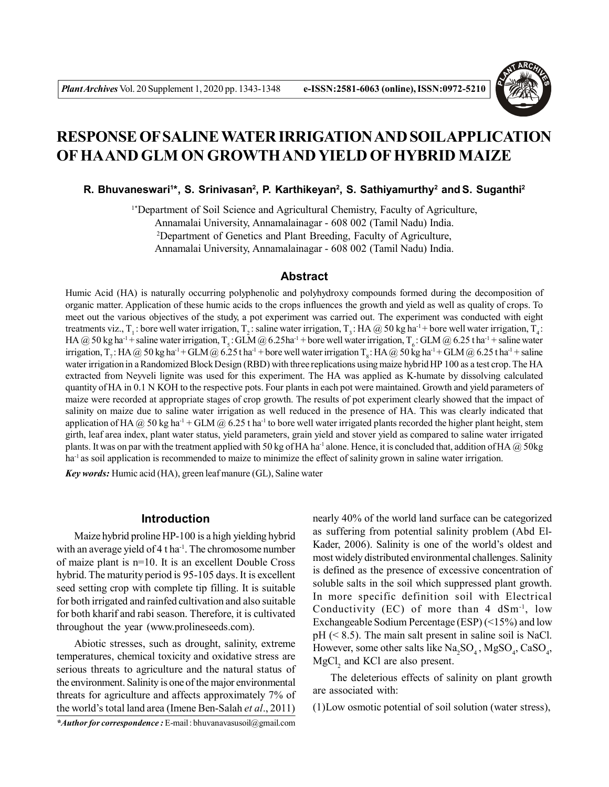

# **RESPONSE OF SALINE WATER IRRIGATION AND SOILAPPLICATION OF HAAND GLM ON GROWTH AND YIELD OF HYBRID MAIZE**

**R. Bhuvaneswari<sup>1</sup> \*, S. Srinivasan<sup>2</sup> , P. Karthikeyan<sup>2</sup> , S. Sathiyamurthy<sup>2</sup> and S. Suganthi<sup>2</sup>**

1\*Department of Soil Science and Agricultural Chemistry, Faculty of Agriculture, Annamalai University, Annamalainagar - 608 002 (Tamil Nadu) India. <sup>2</sup>Department of Genetics and Plant Breeding, Faculty of Agriculture, Annamalai University, Annamalainagar - 608 002 (Tamil Nadu) India.

## **Abstract**

Humic Acid (HA) is naturally occurring polyphenolic and polyhydroxy compounds formed during the decomposition of organic matter. Application of these humic acids to the crops influences the growth and yield as well as quality of crops. To meet out the various objectives of the study, a pot experiment was carried out. The experiment was conducted with eight treatments viz., T<sub>1</sub>: bore well water irrigation, T<sub>2</sub>: saline water irrigation, T<sub>3</sub>: HA @ 50 kg ha<sup>-1</sup> + bore well water irrigation, T<sub>4</sub>: HA @ 50 kg ha<sup>-1</sup> + saline water irrigation, T<sub>s</sub>: GLM @ 6.25ha<sup>-1</sup> + bore well water irrigation, T<sub>s</sub>: GLM @ 6.25 t ha<sup>-1</sup> + saline water irrigation, T<sub>r</sub>: HA @ 50 kg ha<sup>-1</sup> + GLM @ 6.25 t ha<sup>-1</sup> + bore well water irrigation T<sub>s</sub>: HA @ 50 kg ha<sup>-1</sup> + GLM @ 6.25 t ha<sup>-1</sup> + saline water irrigation in a Randomized Block Design (RBD) with three replications using maize hybrid HP 100 as a test crop. The HA extracted from Neyveli lignite was used for this experiment. The HA was applied as K-humate by dissolving calculated quantity of HA in 0.1 N KOH to the respective pots. Four plants in each pot were maintained. Growth and yield parameters of maize were recorded at appropriate stages of crop growth. The results of pot experiment clearly showed that the impact of salinity on maize due to saline water irrigation as well reduced in the presence of HA. This was clearly indicated that application of HA  $\omega$  50 kg ha<sup>-1</sup> + GLM  $\omega$  6.25 t ha<sup>-1</sup> to bore well water irrigated plants recorded the higher plant height, stem girth, leaf area index, plant water status, yield parameters, grain yield and stover yield as compared to saline water irrigated plants. It was on par with the treatment applied with 50 kg of HA ha<sup>-1</sup> alone. Hence, it is concluded that, addition of HA  $@$  50kg ha<sup>-1</sup> as soil application is recommended to maize to minimize the effect of salinity grown in saline water irrigation.

*Key words:* Humic acid (HA), green leaf manure (GL), Saline water

## **Introduction**

Maize hybrid proline HP-100 is a high yielding hybrid with an average yield of  $4$  t ha<sup>-1</sup>. The chromosome number of maize plant is n=10. It is an excellent Double Cross hybrid. The maturity period is 95-105 days. It is excellent seed setting crop with complete tip filling. It is suitable for both irrigated and rainfed cultivation and also suitable for both kharif and rabi season. Therefore, it is cultivated throughout the year (www.prolineseeds.com).

Abiotic stresses, such as drought, salinity, extreme temperatures, chemical toxicity and oxidative stress are serious threats to agriculture and the natural status of the environment. Salinity is one of the major environmental threats for agriculture and affects approximately 7% of the world's total land area (Imene Ben-Salah *et al*., 2011)

*\*Author for correspondence :* E-mail : bhuvanavasusoil@gmail.com

nearly 40% of the world land surface can be categorized as suffering from potential salinity problem (Abd El-Kader, 2006). Salinity is one of the world's oldest and most widely distributed environmental challenges. Salinity is defined as the presence of excessive concentration of soluble salts in the soil which suppressed plant growth. In more specific definition soil with Electrical Conductivity (EC) of more than  $4 \text{ dSm}^{-1}$ , low Exchangeable Sodium Percentage (ESP) (<15%) and low  $pH$  ( $\leq$  8.5). The main salt present in saline soil is NaCl. However, some other salts like  $\text{Na}_2\text{SO}_4$ ,  $\text{MgSO}_4$ ,  $\text{CaSO}_4$ ,  $MgCl<sub>2</sub>$  and KCl are also present.

The deleterious effects of salinity on plant growth are associated with:

(1)Low osmotic potential of soil solution (water stress),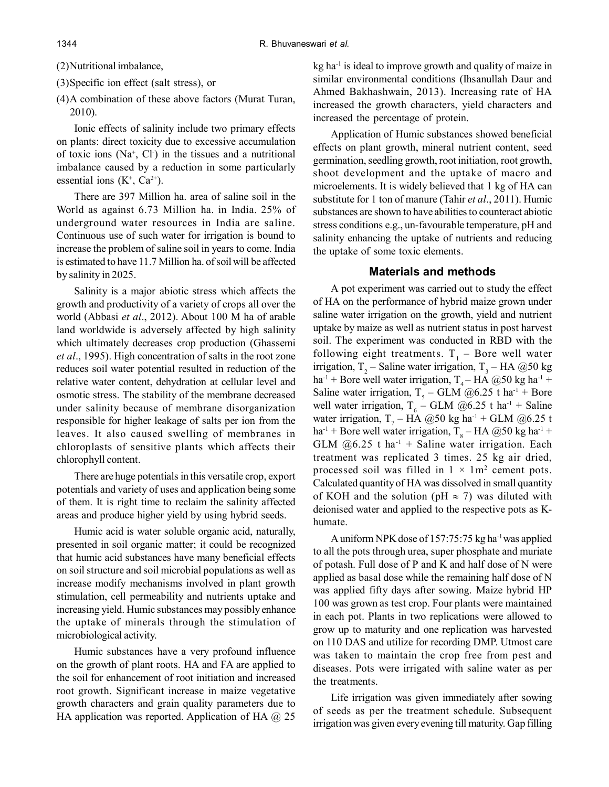#### (2)Nutritional imbalance,

(3)Specific ion effect (salt stress), or

(4)A combination of these above factors (Murat Turan, 2010).

Ionic effects of salinity include two primary effects on plants: direct toxicity due to excessive accumulation of toxic ions  $(Na^+, Cl)$  in the tissues and a nutritional imbalance caused by a reduction in some particularly essential ions  $(K^{\dagger}, Ca^{2+})$ .

There are 397 Million ha. area of saline soil in the World as against 6.73 Million ha. in India. 25% of underground water resources in India are saline. Continuous use of such water for irrigation is bound to increase the problem of saline soil in years to come. India is estimated to have 11.7 Million ha. of soil will be affected by salinity in 2025.

Salinity is a major abiotic stress which affects the growth and productivity of a variety of crops all over the world (Abbasi *et al*., 2012). About 100 M ha of arable land worldwide is adversely affected by high salinity which ultimately decreases crop production (Ghassemi *et al*., 1995). High concentration of salts in the root zone reduces soil water potential resulted in reduction of the relative water content, dehydration at cellular level and osmotic stress. The stability of the membrane decreased under salinity because of membrane disorganization responsible for higher leakage of salts per ion from the leaves. It also caused swelling of membranes in chloroplasts of sensitive plants which affects their chlorophyll content.

There are huge potentials in this versatile crop, export potentials and variety of uses and application being some of them. It is right time to reclaim the salinity affected areas and produce higher yield by using hybrid seeds.

Humic acid is water soluble organic acid, naturally, presented in soil organic matter; it could be recognized that humic acid substances have many beneficial effects on soil structure and soil microbial populations as well as increase modify mechanisms involved in plant growth stimulation, cell permeability and nutrients uptake and increasing yield. Humic substances may possibly enhance the uptake of minerals through the stimulation of microbiological activity.

Humic substances have a very profound influence on the growth of plant roots. HA and FA are applied to the soil for enhancement of root initiation and increased root growth. Significant increase in maize vegetative growth characters and grain quality parameters due to HA application was reported. Application of HA  $\omega$  25 kg ha<sup>-1</sup> is ideal to improve growth and quality of maize in similar environmental conditions (Ihsanullah Daur and Ahmed Bakhashwain, 2013). Increasing rate of HA increased the growth characters, yield characters and increased the percentage of protein.

Application of Humic substances showed beneficial effects on plant growth, mineral nutrient content, seed germination, seedling growth, root initiation, root growth, shoot development and the uptake of macro and microelements. It is widely believed that 1 kg of HA can substitute for 1 ton of manure (Tahir *et al*., 2011). Humic substances are shown to have abilities to counteract abiotic stress conditions e.g., un-favourable temperature, pH and salinity enhancing the uptake of nutrients and reducing the uptake of some toxic elements.

#### **Materials and methods**

A pot experiment was carried out to study the effect of HA on the performance of hybrid maize grown under saline water irrigation on the growth, yield and nutrient uptake by maize as well as nutrient status in post harvest soil. The experiment was conducted in RBD with the following eight treatments.  $T_1$  – Bore well water irrigation, T<sub>2</sub> – Saline water irrigation, T<sub>3</sub> – HA @50 kg ha<sup>-1</sup> + Bore well water irrigation,  $T_4$  – HA @50 kg ha<sup>-1</sup> + Saline water irrigation,  $T_5 - \text{GLM}$  @6.25 t ha<sup>-1</sup> + Bore well water irrigation,  $T_6$  – GLM @6.25 t ha<sup>-1</sup> + Saline water irrigation,  $T_7$  – HA @50 kg ha<sup>-1</sup> + GLM @6.25 t  $ha^{-1}$  + Bore well water irrigation,  $T_8$  – HA @50 kg ha<sup>-1</sup> + GLM  $(2)$ 6.25 t ha<sup>-1</sup> + Saline water irrigation. Each treatment was replicated 3 times. 25 kg air dried, processed soil was filled in  $1 \times 1 \text{m}^2$  cement pots. Calculated quantity of HA was dissolved in small quantity of KOH and the solution (pH  $\approx$  7) was diluted with deionised water and applied to the respective pots as Khumate.

A uniform NPK dose of 157:75:75 kg ha-1 was applied to all the pots through urea, super phosphate and muriate of potash. Full dose of P and K and half dose of N were applied as basal dose while the remaining half dose of N was applied fifty days after sowing. Maize hybrid HP 100 was grown as test crop. Four plants were maintained in each pot. Plants in two replications were allowed to grow up to maturity and one replication was harvested on 110 DAS and utilize for recording DMP. Utmost care was taken to maintain the crop free from pest and diseases. Pots were irrigated with saline water as per the treatments.

Life irrigation was given immediately after sowing of seeds as per the treatment schedule. Subsequent irrigation was given every evening till maturity. Gap filling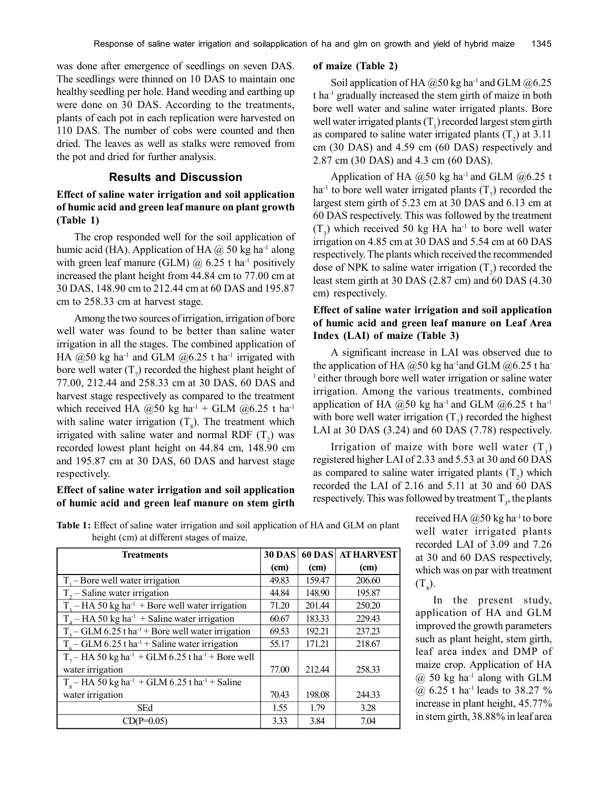was done after emergence of seedlings on seven DAS. The seedlings were thinned on 10 DAS to maintain one healthy seedling per hole. Hand weeding and earthing up were done on 30 DAS. According to the treatments, plants of each pot in each replication were harvested on 110 DAS. The number of cobs were counted and then dried. The leaves as well as stalks were removed from the pot and dried for further analysis.

## **Results and Discussion**

## **Effect of saline water irrigation and soil application of humic acid and green leaf manure on plant growth (Table 1)**

The crop responded well for the soil application of humic acid (HA). Application of HA  $\omega$  50 kg ha<sup>-1</sup> along with green leaf manure (GLM)  $\omega$  6.25 t ha<sup>-1</sup> positively increased the plant height from 44.84 cm to 77.00 cm at 30 DAS, 148.90 cm to 212.44 cm at 60 DAS and 195.87 cm to 258.33 cm at harvest stage.

Among the two sources of irrigation, irrigation of bore well water was found to be better than saline water irrigation in all the stages. The combined application of HA  $@50$  kg ha<sup>-1</sup> and GLM  $@6.25$  t ha<sup>-1</sup> irrigated with bore well water  $(T_7)$  recorded the highest plant height of 77.00, 212.44 and 258.33 cm at 30 DAS, 60 DAS and harvest stage respectively as compared to the treatment which received HA  $@50$  kg ha<sup>-1</sup> + GLM  $@6.25$  t ha<sup>-1</sup> with saline water irrigation  $(T<sub>8</sub>)$ . The treatment which irrigated with saline water and normal RDF  $(T_2)$  was recorded lowest plant height on 44.84 cm, 148.90 cm and 195.87 cm at 30 DAS, 60 DAS and harvest stage respectively.

#### **Effect of saline water irrigation and soil application of humic acid and green leaf manure on stem girth**

#### **of maize (Table 2)**

Soil application of HA  $@50$  kg ha<sup>-1</sup> and GLM  $@6.25$ t ha-1 gradually increased the stem girth of maize in both bore well water and saline water irrigated plants. Bore well water irrigated plants  $(T_1)$  recorded largest stem girth as compared to saline water irrigated plants  $(T_2)$  at 3.11 cm (30 DAS) and 4.59 cm (60 DAS) respectively and 2.87 cm (30 DAS) and 4.3 cm (60 DAS).

Application of HA  $(2,50 \text{ kg ha}^{-1})$  and GLM  $(2,60.25 \text{ t})$ ha<sup>-1</sup> to bore well water irrigated plants  $(T_7)$  recorded the largest stem girth of 5.23 cm at 30 DAS and 6.13 cm at 60 DAS respectively. This was followed by the treatment  $(T_3)$  which received 50 kg HA ha<sup>-1</sup> to bore well water irrigation on 4.85 cm at 30 DAS and 5.54 cm at 60 DAS respectively. The plants which received the recommended dose of NPK to saline water irrigation  $(T_2)$  recorded the least stem girth at 30 DAS (2.87 cm) and 60 DAS (4.30 cm) respectively.

## **Effect of saline water irrigation and soil application of humic acid and green leaf manure on Leaf Area Index (LAI) of maize (Table 3)**

A significant increase in LAI was observed due to the application of HA  $@50$  kg ha<sup>-1</sup>and GLM  $@6.25$  t ha-<sup>1</sup> either through bore well water irrigation or saline water irrigation. Among the various treatments, combined application of HA  $@50$  kg ha<sup>-1</sup> and GLM  $@6.25$  t ha<sup>-1</sup> with bore well water irrigation  $(T_7)$  recorded the highest LAI at 30 DAS (3.24) and 60 DAS (7.78) respectively.

Irrigation of maize with bore well water  $(T_1)$ registered higher LAI of 2.33 and 5.53 at 30 and 60 DAS as compared to saline water irrigated plants  $(T_2)$  which recorded the LAI of 2.16 and 5.11 at 30 and 60 DAS respectively. This was followed by treatment  $T_{3}$ , the plants

received HA  $(a)$ 50 kg ha<sup>-1</sup> to bore well water irrigated plants recorded LAI of 3.09 and 7.26 at 30 and 60 DAS respectively, which was on par with treatment  $(T<sub>8</sub>)$ .

In the present study, application of HA and GLM improved the growth parameters such as plant height, stem girth, leaf area index and DMP of maize crop. Application of HA  $@$  50 kg ha<sup>-1</sup> along with GLM @ 6.25 t ha<sup>-1</sup> leads to 38.27 % increase in plant height, 45.77% in stem girth, 38.88% in leaf area

**Table 1:** Effect of saline water irrigation and soil application of HA and GLM on plant height (cm) at different stages of maize.

| <b>30 DAS</b> |        | <b>60 DAS AT HARVEST</b> |
|---------------|--------|--------------------------|
| (cm)          | (cm)   | (cm)                     |
| 49.83         | 159.47 | 206.60                   |
| 44.84         | 148.90 | 195.87                   |
| 71.20         | 201.44 | 250.20                   |
| 60.67         | 183.33 | 229.43                   |
| 69.53         | 192.21 | 237.23                   |
| 55.17         | 171.21 | 218.67                   |
|               |        |                          |
| 77.00         | 212.44 | 258.33                   |
|               |        |                          |
| 70.43         | 198.08 | 244.33                   |
| 1.55          | 1.79   | 3.28                     |
| 3.33          | 3.84   | 7.04                     |
|               |        |                          |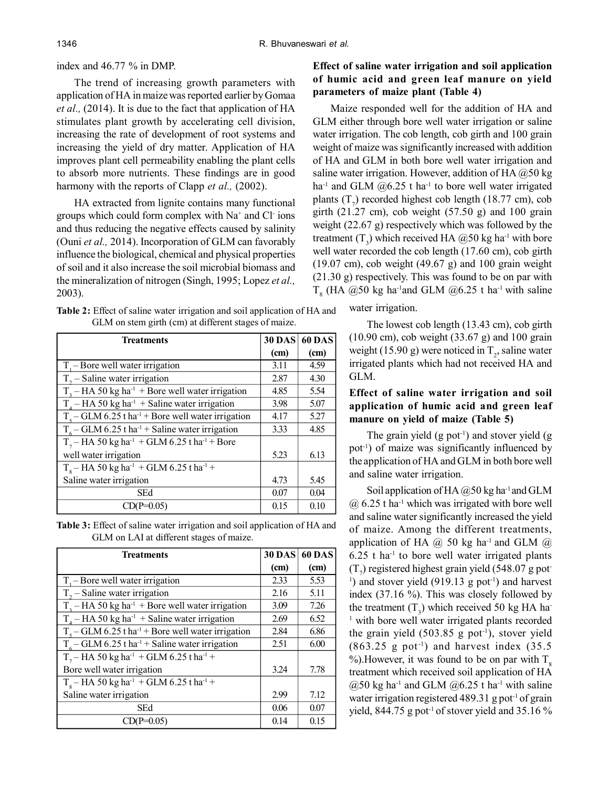#### index and 46.77 % in DMP.

The trend of increasing growth parameters with application of HA in maize was reported earlier by Gomaa *et al.,* (2014). It is due to the fact that application of HA stimulates plant growth by accelerating cell division, increasing the rate of development of root systems and increasing the yield of dry matter. Application of HA improves plant cell permeability enabling the plant cells to absorb more nutrients. These findings are in good harmony with the reports of Clapp *et al.,* (2002).

HA extracted from lignite contains many functional groups which could form complex with Na<sup>+</sup> and Cl ions and thus reducing the negative effects caused by salinity (Ouni *et al.,* 2014). Incorporation of GLM can favorably influence the biological, chemical and physical properties of soil and it also increase the soil microbial biomass and the mineralization of nitrogen (Singh, 1995; Lopez *et al.,* 2003).

**Table 2:** Effect of saline water irrigation and soil application of HA and GLM on stem girth (cm) at different stages of maize.

| <b>Treatments</b>                                                      | <b>30 DAS</b> | <b>60 DAS</b> |
|------------------------------------------------------------------------|---------------|---------------|
|                                                                        | (cm)          | (cm)          |
| $Ti$ – Bore well water irrigation                                      | 3.11          | 4.59          |
| $T_{2}$ – Saline water irrigation                                      | 2.87          | 4.30          |
| $T2 - HA 50 kg ha-1 + Bore well water irrigation$                      | 4.85          | 5.54          |
| $T4 - HA 50 kg ha-1 + Saline water irrigation$                         | 3.98          | 5.07          |
| $T_s$ – GLM 6.25 t ha <sup>-1</sup> + Bore well water irrigation       | 4.17          | 5.27          |
| $T_c$ – GLM 6.25 t ha <sup>-1</sup> + Saline water irrigation          | 3.33          | 4.85          |
| $T_7$ – HA 50 kg ha <sup>-1</sup> + GLM 6.25 t ha <sup>-1</sup> + Bore |               |               |
| well water irrigation                                                  | 5.23          | 6.13          |
| $T_e$ – HA 50 kg ha <sup>-1</sup> + GLM 6.25 t ha <sup>-1</sup> +      |               |               |
| Saline water irrigation                                                | 4.73          | 5.45          |
| <b>SEd</b>                                                             | 0.07          | 0.04          |
| $CD(P=0.05)$                                                           | 0.15          | 0.10          |

**Table 3:** Effect of saline water irrigation and soil application of HA and GLM on LAI at different stages of maize.

| <b>Treatments</b>                                                 | <b>30 DAS</b> | <b>60 DAS</b> |
|-------------------------------------------------------------------|---------------|---------------|
|                                                                   | (cm)          | (cm)          |
| $Ti$ – Bore well water irrigation                                 | 2.33          | 5.53          |
| $T_{2}$ – Saline water irrigation                                 | 2.16          | 5.11          |
| $T2 - HA 50 kg ha-1 + Bore well water irrigation$                 | 3.09          | 7.26          |
| $T_A$ – HA 50 kg ha <sup>-1</sup> + Saline water irrigation       | 2.69          | 6.52          |
| $T_c$ – GLM 6.25 t ha <sup>-1</sup> + Bore well water irrigation  | 2.84          | 6.86          |
| $T_6$ – GLM 6.25 t ha <sup>-1</sup> + Saline water irrigation     | 2.51          | 6.00          |
| $T_7$ – HA 50 kg ha <sup>-1</sup> + GLM 6.25 t ha <sup>-1</sup> + |               |               |
| Bore well water irrigation                                        | 3.24          | 7.78          |
| $T_s$ – HA 50 kg ha <sup>-1</sup> + GLM 6.25 t ha <sup>-1</sup> + |               |               |
| Saline water irrigation                                           | 2.99          | 7.12          |
| SEd                                                               | 0.06          | 0.07          |
| $(P=0.05)$                                                        | 0.14          | 0.15          |

# **Effect of saline water irrigation and soil application of humic acid and green leaf manure on yield parameters of maize plant (Table 4)**

Maize responded well for the addition of HA and GLM either through bore well water irrigation or saline water irrigation. The cob length, cob girth and 100 grain weight of maize was significantly increased with addition of HA and GLM in both bore well water irrigation and saline water irrigation. However, addition of HA  $@50$  kg ha<sup>-1</sup> and GLM  $(206.25 \text{ t} \text{ ha}^{-1} \text{ to bore well water irradiated})$ plants  $(T_7)$  recorded highest cob length (18.77 cm), cob girth  $(21.27 \text{ cm})$ , cob weight  $(57.50 \text{ g})$  and 100 grain weight (22.67 g) respectively which was followed by the treatment  $(T_3)$  which received HA  $@50$  kg ha<sup>-1</sup> with bore well water recorded the cob length (17.60 cm), cob girth  $(19.07 \text{ cm})$ , cob weight  $(49.67 \text{ g})$  and  $100 \text{ grain weight}$ (21.30 g) respectively. This was found to be on par with  $T<sub>8</sub>$  (HA @50 kg ha<sup>-1</sup>and GLM @6.25 t ha<sup>-1</sup> with saline

water irrigation.

The lowest cob length (13.43 cm), cob girth (10.90 cm), cob weight (33.67 g) and 100 grain weight (15.90 g) were noticed in  $T_2$ , saline water irrigated plants which had not received HA and GLM.

# **Effect of saline water irrigation and soil application of humic acid and green leaf manure on yield of maize (Table 5)**

The grain yield  $(g$  pot<sup>-1</sup>) and stover yield  $(g$ pot-1) of maize was significantly influenced by the application of HA and GLM in both bore well and saline water irrigation.

Soil application of HA  $@50$  kg ha<sup>-1</sup> and GLM  $(a)$  6.25 t ha<sup>-1</sup> which was irrigated with bore well and saline water significantly increased the yield of maize. Among the different treatments, application of HA  $\omega$  50 kg ha<sup>-1</sup> and GLM  $\omega$  $6.25$  t ha<sup>-1</sup> to bore well water irrigated plants  $(T_7)$  registered highest grain yield (548.07 g pot <sup>1</sup>) and stover yield  $(919.13 \text{ g pot}^{-1})$  and harvest index (37.16 %). This was closely followed by the treatment  $(T_3)$  which received 50 kg HA ha-<sup>1</sup> with bore well water irrigated plants recorded the grain yield  $(503.85 \text{ g pot}^{-1})$ , stover yield  $(863.25 \text{ g} \text{ pot}^{-1})$  and harvest index  $(35.5 \text{ s} \text{ pot}^{-1})$ %). However, it was found to be on par with  $T<sub>o</sub>$ treatment which received soil application of HA  $(2,50 \text{ kg ha}^{-1}$  and GLM  $(2,6.25 \text{ t ha}^{-1} \text{ with saline})$ water irrigation registered  $489.31$  g pot<sup>-1</sup> of grain yield, 844.75 g pot<sup>-1</sup> of stover yield and 35.16  $\%$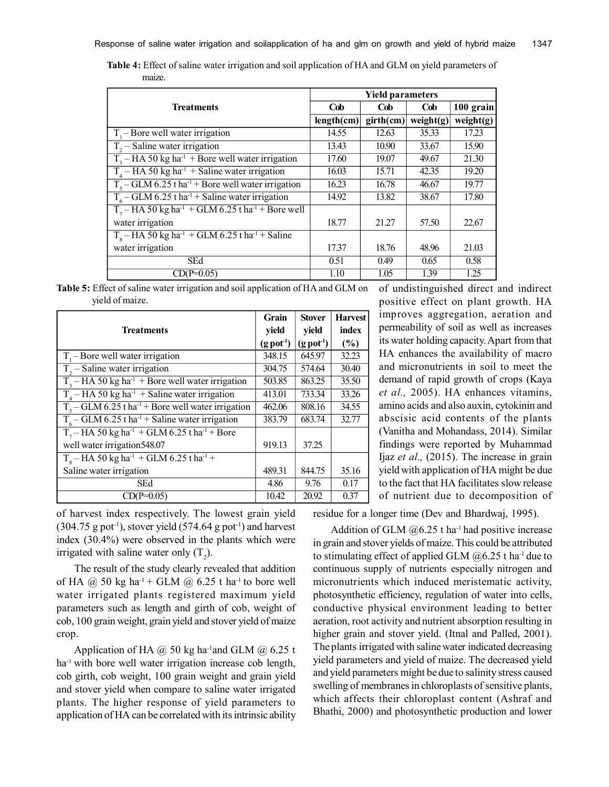| <b>Table 4:</b> Effect of saline water irrigation and soil application of HA and GLM on yield parameters of |  |  |  |
|-------------------------------------------------------------------------------------------------------------|--|--|--|
| maize.                                                                                                      |  |  |  |

|                                                                             | <b>Yield parameters</b> |           |              |           |  |
|-----------------------------------------------------------------------------|-------------------------|-----------|--------------|-----------|--|
| Treatments                                                                  | Cob                     | Cob       | Cob          | 100 grain |  |
|                                                                             | length(cm)              | girth(cm) | weight $(g)$ | weight(g) |  |
| $T1$ – Bore well water irrigation                                           | 14.55                   | 12.63     | 35.33        | 17.23     |  |
| $T2 - Saline water irrigation$                                              | 13.43                   | 10.90     | 33.67        | 15.90     |  |
| $T3 - HA 50 kg ha-1 + Bore well water irrigation$                           | 17.60                   | 19.07     | 49.67        | 21.30     |  |
| $T_A$ – HA 50 kg ha <sup>-1</sup> + Saline water irrigation                 | 16.03                   | 15.71     | 42.35        | 19.20     |  |
| $T_5$ – GLM 6.25 t ha <sup>-1</sup> + Bore well water irrigation            | 16.23                   | 16.78     | 46.67        | 19.77     |  |
| $T_6$ – GLM 6.25 t ha <sup>-1</sup> + Saline water irrigation               | 14.92                   | 13.82     | 38.67        | 17.80     |  |
| $T_7$ – HA 50 kg ha <sup>-1</sup> + GLM 6.25 t ha <sup>-1</sup> + Bore well |                         |           |              |           |  |
| water irrigation                                                            | 18.77                   | 21.27     | 57.50        | 22.67     |  |
| $Ts$ – HA 50 kg ha <sup>-1</sup> + GLM 6.25 t ha <sup>-1</sup> + Saline     |                         |           |              |           |  |
| water irrigation                                                            | 17.37                   | 18.76     | 48.96        | 21.03     |  |
| <b>SEd</b>                                                                  | 0.51                    | 0.49      | 0.65         | 0.58      |  |
| $CD(P=0.05)$                                                                | 1.10                    | 1.05      | 1.39         | 1.25      |  |

|                 | <b>Table 5:</b> Effect of saline water irrigation and soil application of HA and GLM on |  |  |
|-----------------|-----------------------------------------------------------------------------------------|--|--|
| yield of maize. |                                                                                         |  |  |

|                                                                        | Grain                    | <b>Stover</b>            | <b>Harvest</b> |
|------------------------------------------------------------------------|--------------------------|--------------------------|----------------|
| <b>Treatments</b>                                                      | yield                    | yield                    | index          |
|                                                                        | $(g$ pot <sup>-1</sup> ) | $(g$ pot <sup>-1</sup> ) | (%)            |
| $T1$ – Bore well water irrigation                                      | 348.15                   | 645.97                   | 32.23          |
| $T_{2}$ – Saline water irrigation                                      | 304.75                   | 574.64                   | 30.40          |
| $T3 - HA 50 kg ha-1 + Bore well water irrigation$                      | 503.85                   | 863.25                   | 35.50          |
| $T4 - HA 50 kg ha-1 + Saline water irrigation$                         | 413.01                   | 733.34                   | 33.26          |
| $T_5$ – GLM 6.25 t ha <sup>-1</sup> + Bore well water irrigation       | 462.06                   | 808.16                   | 34.55          |
| $T_6$ – GLM 6.25 t ha <sup>-1</sup> + Saline water irrigation          | 383.79                   | 683.74                   | 32.77          |
| $T_7$ – HA 50 kg ha <sup>-1</sup> + GLM 6.25 t ha <sup>-1</sup> + Bore |                          |                          |                |
| well water irrigation548.07                                            | 919.13                   | 37.25                    |                |
| $T8 - HA$ 50 kg ha <sup>-1</sup> + GLM 6.25 t ha <sup>-1</sup> +       |                          |                          |                |
| Saline water irrigation                                                | 489.31                   | 844.75                   | 35.16          |
| SEd                                                                    | 4.86                     | 9.76                     | 0.17           |
| $CD(P=0.05)$                                                           | 10.42                    | 20.92                    | 0.37           |

of undistinguished direct and indirect positive effect on plant growth. HA improves aggregation, aeration and permeability of soil as well as increases its water holding capacity. Apart from that HA enhances the availability of macro and micronutrients in soil to meet the demand of rapid growth of crops (Kaya *et al.,* 2005). HA enhances vitamins, amino acids and also auxin, cytokinin and abscisic acid contents of the plants (Vanitha and Mohandass, 2014). Similar findings were reported by Muhammad Ijaz *et al.,* (2015). The increase in grain yield with application of HA might be due to the fact that HA facilitates slow release of nutrient due to decomposition of

of harvest index respectively. The lowest grain yield  $(304.75 \text{ g pot}^{-1})$ , stover yield  $(574.64 \text{ g pot}^{-1})$  and harvest index (30.4%) were observed in the plants which were irrigated with saline water only  $(T_2)$ .

The result of the study clearly revealed that addition of HA  $(a)$  50 kg ha<sup>-1</sup> + GLM  $(a)$  6.25 t ha<sup>-1</sup> to bore well water irrigated plants registered maximum yield parameters such as length and girth of cob, weight of cob, 100 grain weight, grain yield and stover yield of maize crop.

Application of HA  $\omega$  50 kg ha<sup>-1</sup>and GLM  $\omega$  6.25 t ha<sup>-1</sup> with bore well water irrigation increase cob length, cob girth, cob weight, 100 grain weight and grain yield and stover yield when compare to saline water irrigated plants. The higher response of yield parameters to application of HA can be correlated with its intrinsic ability residue for a longer time (Dev and Bhardwaj, 1995).

Addition of GLM  $@6.25$  t ha<sup>-1</sup> had positive increase in grain and stover yields of maize. This could be attributed to stimulating effect of applied GLM  $@6.25$  t ha<sup>-1</sup> due to continuous supply of nutrients especially nitrogen and micronutrients which induced meristematic activity, photosynthetic efficiency, regulation of water into cells, conductive physical environment leading to better aeration, root activity and nutrient absorption resulting in higher grain and stover yield. (Itnal and Palled, 2001). The plants irrigated with saline water indicated decreasing yield parameters and yield of maize. The decreased yield and yield parameters might be due to salinity stress caused swelling of membranes in chloroplasts of sensitive plants, which affects their chloroplast content (Ashraf and Bhathi, 2000) and photosynthetic production and lower